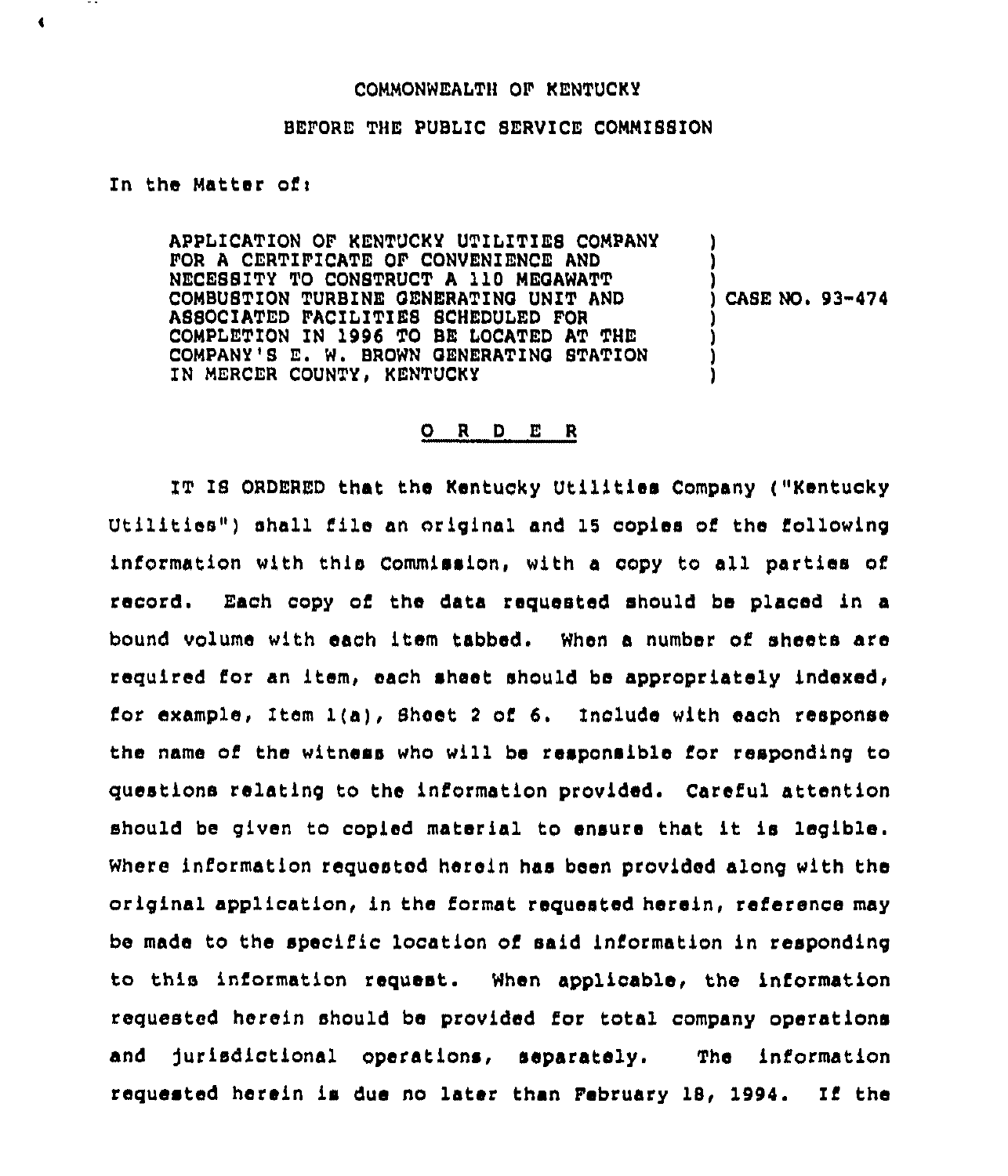## COMMONWEALTH OF KENTUCKY

## BEFORE THE PUBLIC SERVICE COMMISSION

## In the Matter ofi

 $\blacktriangleleft$ 

APPLICATION OF KENTUCKY UTILITIES COMPANY FOR A CERTIFICATE OF CONVENIENCE AND NECESSITY TO CONSTRUCT <sup>A</sup> 110 MEOAWATT COMBUSTION TURBINE OENEAATINQ UNIT AND ASSOCIATED FACILITIES SCHEDULED FOR COMPLETION IN 1996 TO BE LOCATED AT THE COMPANY'S E. W. BROWN GENERATING STATION IN MERCER COUNTY, KENTUCKY

) CASE NO <sup>~</sup> 93-474

) ) )

) ) ) )

## 0 <sup>R</sup> <sup>D</sup> <sup>E</sup> <sup>R</sup>

IT IS ORDERED that the Kentucky Utilitiea Company ("Kentucky Utilities") shall file an original and 15 copies of the following information with this Commission, with <sup>a</sup> copy to all parties of record. Each copy of the data requested should be placed in a bound volume with each item tabbed. When a number of sheets are required for an item, each sheet should be appropriately indexed, for example, Item  $l(a)$ , Sheet 2 of 6. Include with each response the name of the witness who will be responsible for responding to questions relating to the information provided. Careful attention should be given to copied material to ensure that it is legible. Where information requested herein has been provided along with the original application, in the format requested herein, reference may be made to the specific location of said information in responding to this information request. When applicable, the information requested herein should be provided for total company operations and jurisdictional operations, separately. The information requested herein is due no later than February 18, 1994. If the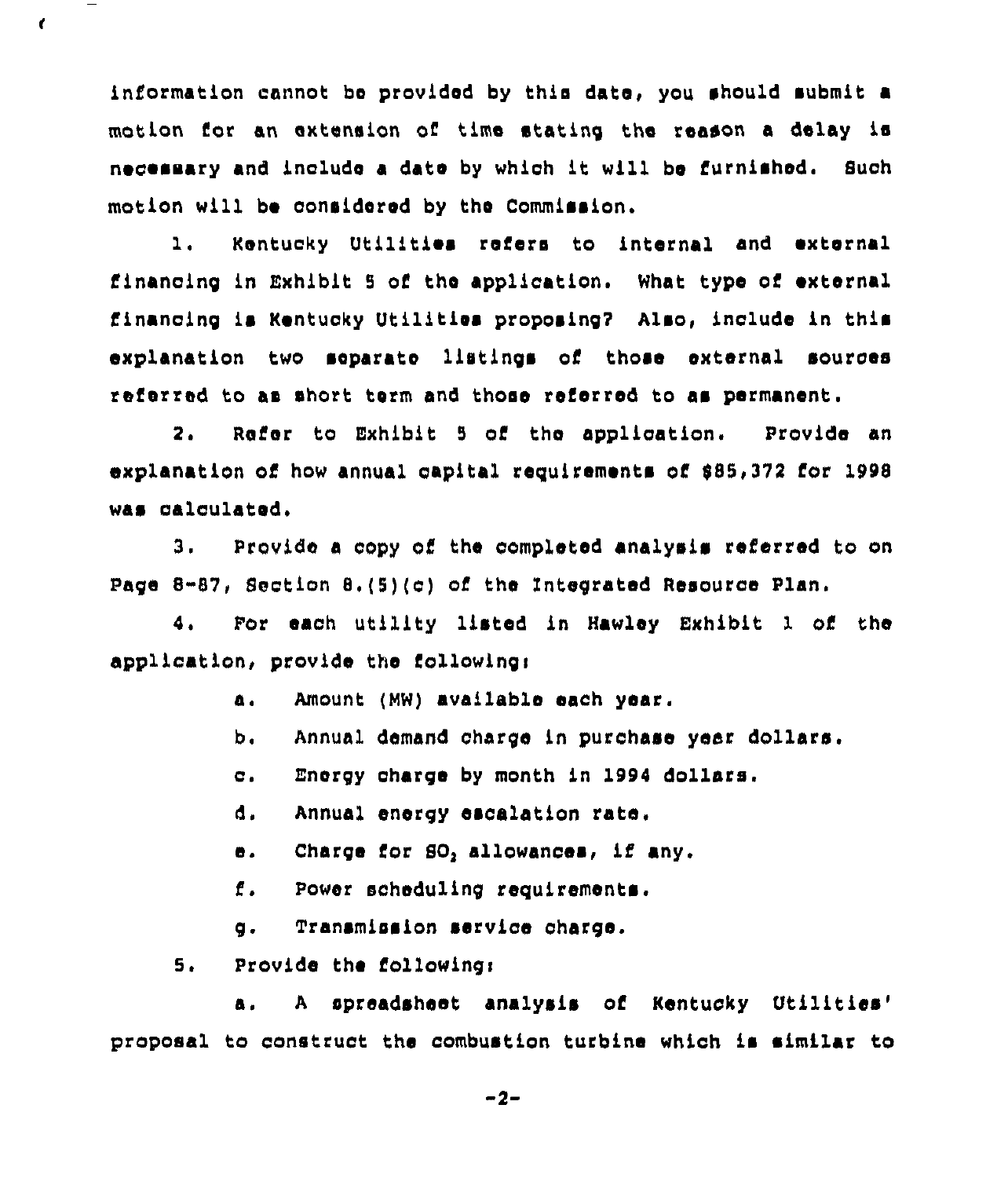information cannot bo provided by this date, you should submit a motion for an extension of time stating the reason a delay is necessary and include a date by which it will be furnished. Such motion will be considered by the Commission.

1. Kentucky Utilities refers to internal and external financing in Exhibit 5 of the application. What type of external financing is Kentucky Utilities proposing? Also, include in this explanation two separate listings of those external sources referred to as short term and those referred to as permanent.

2. Refer to Exhibit 5 of the application. Provide an explanation of how annual capital requirements of \$85,372 for 1998 was calculated,

3. Provide a copy of the completed analysis referred to on Page 8-87, Section 8,(5)(c) of the integrated Resource Plan.

4. For each utility listed in Hawley Exhibit 1 of the application, provide the following:

- a, Amount (MW) available each year.
- b, Annual demand charge in purchase year dollars.
- c. Energy charge by month in <sup>1994</sup> dollars.
- d. Annual energy escalation rate.
- e. Charge for 80, allowances, if any.
- i'. Power scheduling requirements.
- g. Transmission service charge.
- 5. Provide the followingi

t

a. A spreadsheet analysis of Kentucky Utilities' proposal to construct the combustion turbine which is similar to

2-